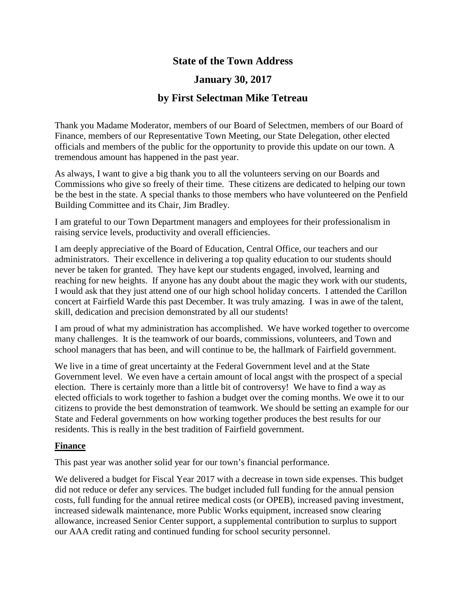# **State of the Town Address**

# **January 30, 2017**

# **by First Selectman Mike Tetreau**

Thank you Madame Moderator, members of our Board of Selectmen, members of our Board of Finance, members of our Representative Town Meeting, our State Delegation, other elected officials and members of the public for the opportunity to provide this update on our town. A tremendous amount has happened in the past year.

As always, I want to give a big thank you to all the volunteers serving on our Boards and Commissions who give so freely of their time. These citizens are dedicated to helping our town be the best in the state. A special thanks to those members who have volunteered on the Penfield Building Committee and its Chair, Jim Bradley.

I am grateful to our Town Department managers and employees for their professionalism in raising service levels, productivity and overall efficiencies.

I am deeply appreciative of the Board of Education, Central Office, our teachers and our administrators. Their excellence in delivering a top quality education to our students should never be taken for granted. They have kept our students engaged, involved, learning and reaching for new heights. If anyone has any doubt about the magic they work with our students, I would ask that they just attend one of our high school holiday concerts. I attended the Carillon concert at Fairfield Warde this past December. It was truly amazing. I was in awe of the talent, skill, dedication and precision demonstrated by all our students!

I am proud of what my administration has accomplished. We have worked together to overcome many challenges. It is the teamwork of our boards, commissions, volunteers, and Town and school managers that has been, and will continue to be, the hallmark of Fairfield government.

We live in a time of great uncertainty at the Federal Government level and at the State Government level. We even have a certain amount of local angst with the prospect of a special election. There is certainly more than a little bit of controversy! We have to find a way as elected officials to work together to fashion a budget over the coming months. We owe it to our citizens to provide the best demonstration of teamwork. We should be setting an example for our State and Federal governments on how working together produces the best results for our residents. This is really in the best tradition of Fairfield government.

## **Finance**

This past year was another solid year for our town's financial performance.

We delivered a budget for Fiscal Year 2017 with a decrease in town side expenses. This budget did not reduce or defer any services. The budget included full funding for the annual pension costs, full funding for the annual retiree medical costs (or OPEB), increased paving investment, increased sidewalk maintenance, more Public Works equipment, increased snow clearing allowance, increased Senior Center support, a supplemental contribution to surplus to support our AAA credit rating and continued funding for school security personnel.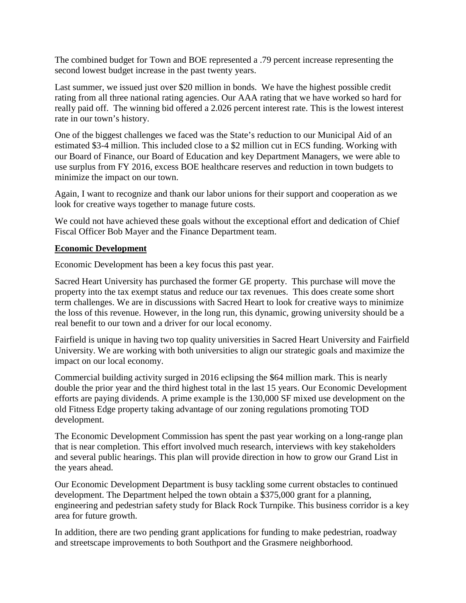The combined budget for Town and BOE represented a .79 percent increase representing the second lowest budget increase in the past twenty years.

Last summer, we issued just over \$20 million in bonds. We have the highest possible credit rating from all three national rating agencies. Our AAA rating that we have worked so hard for really paid off. The winning bid offered a 2.026 percent interest rate. This is the lowest interest rate in our town's history.

One of the biggest challenges we faced was the State's reduction to our Municipal Aid of an estimated \$3-4 million. This included close to a \$2 million cut in ECS funding. Working with our Board of Finance, our Board of Education and key Department Managers, we were able to use surplus from FY 2016, excess BOE healthcare reserves and reduction in town budgets to minimize the impact on our town.

Again, I want to recognize and thank our labor unions for their support and cooperation as we look for creative ways together to manage future costs.

We could not have achieved these goals without the exceptional effort and dedication of Chief Fiscal Officer Bob Mayer and the Finance Department team.

#### **Economic Development**

Economic Development has been a key focus this past year.

Sacred Heart University has purchased the former GE property. This purchase will move the property into the tax exempt status and reduce our tax revenues. This does create some short term challenges. We are in discussions with Sacred Heart to look for creative ways to minimize the loss of this revenue. However, in the long run, this dynamic, growing university should be a real benefit to our town and a driver for our local economy.

Fairfield is unique in having two top quality universities in Sacred Heart University and Fairfield University. We are working with both universities to align our strategic goals and maximize the impact on our local economy.

Commercial building activity surged in 2016 eclipsing the \$64 million mark. This is nearly double the prior year and the third highest total in the last 15 years. Our Economic Development efforts are paying dividends. A prime example is the 130,000 SF mixed use development on the old Fitness Edge property taking advantage of our zoning regulations promoting TOD development.

The Economic Development Commission has spent the past year working on a long-range plan that is near completion. This effort involved much research, interviews with key stakeholders and several public hearings. This plan will provide direction in how to grow our Grand List in the years ahead.

Our Economic Development Department is busy tackling some current obstacles to continued development. The Department helped the town obtain a \$375,000 grant for a planning, engineering and pedestrian safety study for Black Rock Turnpike. This business corridor is a key area for future growth.

In addition, there are two pending grant applications for funding to make pedestrian, roadway and streetscape improvements to both Southport and the Grasmere neighborhood.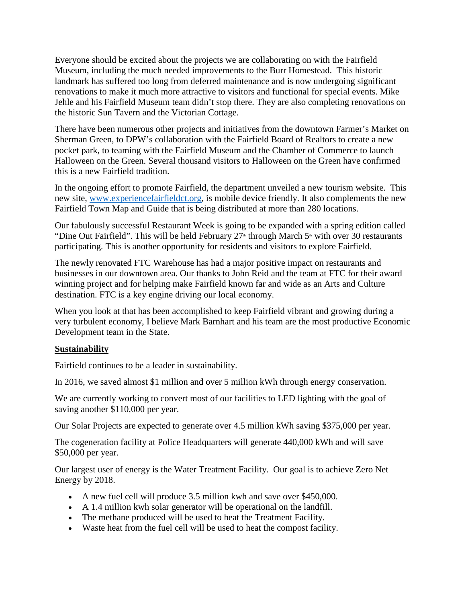Everyone should be excited about the projects we are collaborating on with the Fairfield Museum, including the much needed improvements to the Burr Homestead. This historic landmark has suffered too long from deferred maintenance and is now undergoing significant renovations to make it much more attractive to visitors and functional for special events. Mike Jehle and his Fairfield Museum team didn't stop there. They are also completing renovations on the historic Sun Tavern and the Victorian Cottage.

There have been numerous other projects and initiatives from the downtown Farmer's Market on Sherman Green, to DPW's collaboration with the Fairfield Board of Realtors to create a new pocket park, to teaming with the Fairfield Museum and the Chamber of Commerce to launch Halloween on the Green. Several thousand visitors to Halloween on the Green have confirmed this is a new Fairfield tradition.

In the ongoing effort to promote Fairfield, the department unveiled a new tourism website. This new site, [www.experiencefairfieldct.org,](http://www.experiencefairfieldct.org/) is mobile device friendly. It also complements the new Fairfield Town Map and Guide that is being distributed at more than 280 locations.

Our fabulously successful Restaurant Week is going to be expanded with a spring edition called "Dine Out Fairfield". This will be held February  $27^{\omega}$  through March 5<sup> $\omega$ </sup> with over 30 restaurants participating. This is another opportunity for residents and visitors to explore Fairfield.

The newly renovated FTC Warehouse has had a major positive impact on restaurants and businesses in our downtown area. Our thanks to John Reid and the team at FTC for their award winning project and for helping make Fairfield known far and wide as an Arts and Culture destination. FTC is a key engine driving our local economy.

When you look at that has been accomplished to keep Fairfield vibrant and growing during a very turbulent economy, I believe Mark Barnhart and his team are the most productive Economic Development team in the State.

#### **Sustainability**

Fairfield continues to be a leader in sustainability.

In 2016, we saved almost \$1 million and over 5 million kWh through energy conservation.

We are currently working to convert most of our facilities to LED lighting with the goal of saving another \$110,000 per year.

Our Solar Projects are expected to generate over 4.5 million kWh saving \$375,000 per year.

The cogeneration facility at Police Headquarters will generate 440,000 kWh and will save \$50,000 per year.

Our largest user of energy is the Water Treatment Facility. Our goal is to achieve Zero Net Energy by 2018.

- A new fuel cell will produce 3.5 million kwh and save over \$450,000.
- A 1.4 million kwh solar generator will be operational on the landfill.
- The methane produced will be used to heat the Treatment Facility.
- Waste heat from the fuel cell will be used to heat the compost facility.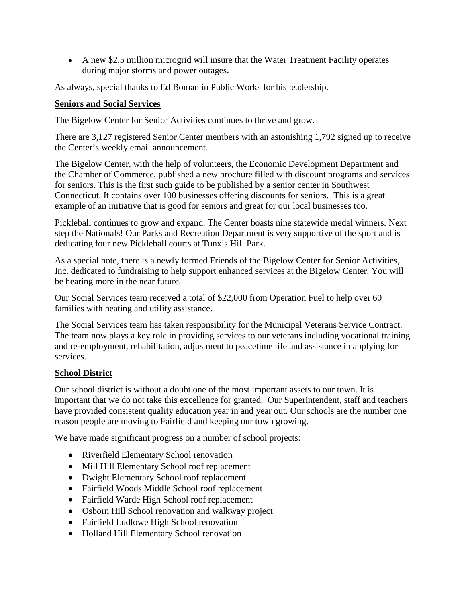• A new \$2.5 million microgrid will insure that the Water Treatment Facility operates during major storms and power outages.

As always, special thanks to Ed Boman in Public Works for his leadership.

# **Seniors and Social Services**

The Bigelow Center for Senior Activities continues to thrive and grow.

There are 3,127 registered Senior Center members with an astonishing 1,792 signed up to receive the Center's weekly email announcement.

The Bigelow Center, with the help of volunteers, the Economic Development Department and the Chamber of Commerce, published a new brochure filled with discount programs and services for seniors. This is the first such guide to be published by a senior center in Southwest Connecticut. It contains over 100 businesses offering discounts for seniors. This is a great example of an initiative that is good for seniors and great for our local businesses too.

Pickleball continues to grow and expand. The Center boasts nine statewide medal winners. Next step the Nationals! Our Parks and Recreation Department is very supportive of the sport and is dedicating four new Pickleball courts at Tunxis Hill Park.

As a special note, there is a newly formed Friends of the Bigelow Center for Senior Activities, Inc. dedicated to fundraising to help support enhanced services at the Bigelow Center. You will be hearing more in the near future.

Our Social Services team received a total of \$22,000 from Operation Fuel to help over 60 families with heating and utility assistance.

The Social Services team has taken responsibility for the Municipal Veterans Service Contract. The team now plays a key role in providing services to our veterans including vocational training and re-employment, rehabilitation, adjustment to peacetime life and assistance in applying for services.

# **School District**

Our school district is without a doubt one of the most important assets to our town. It is important that we do not take this excellence for granted. Our Superintendent, staff and teachers have provided consistent quality education year in and year out. Our schools are the number one reason people are moving to Fairfield and keeping our town growing.

We have made significant progress on a number of school projects:

- Riverfield Elementary School renovation
- Mill Hill Elementary School roof replacement
- Dwight Elementary School roof replacement
- Fairfield Woods Middle School roof replacement
- Fairfield Warde High School roof replacement
- Osborn Hill School renovation and walkway project
- Fairfield Ludlowe High School renovation
- Holland Hill Elementary School renovation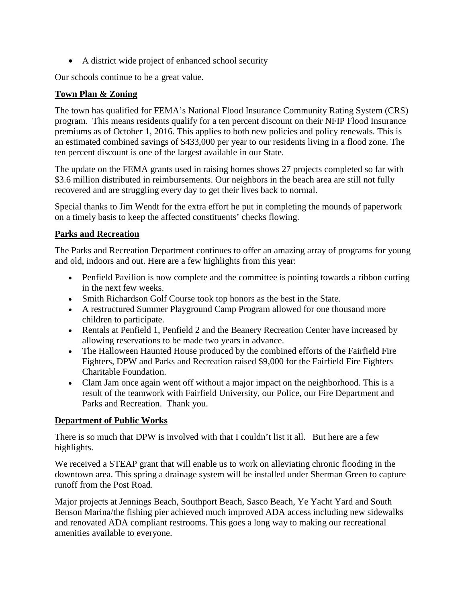• A district wide project of enhanced school security

Our schools continue to be a great value.

# **Town Plan & Zoning**

The town has qualified for FEMA's National Flood Insurance Community Rating System (CRS) program. This means residents qualify for a ten percent discount on their NFIP Flood Insurance premiums as of October 1, 2016. This applies to both new policies and policy renewals. This is an estimated combined savings of \$433,000 per year to our residents living in a flood zone. The ten percent discount is one of the largest available in our State.

The update on the FEMA grants used in raising homes shows 27 projects completed so far with \$3.6 million distributed in reimbursements. Our neighbors in the beach area are still not fully recovered and are struggling every day to get their lives back to normal.

Special thanks to Jim Wendt for the extra effort he put in completing the mounds of paperwork on a timely basis to keep the affected constituents' checks flowing.

# **Parks and Recreation**

The Parks and Recreation Department continues to offer an amazing array of programs for young and old, indoors and out. Here are a few highlights from this year:

- Penfield Pavilion is now complete and the committee is pointing towards a ribbon cutting in the next few weeks.
- Smith Richardson Golf Course took top honors as the best in the State.
- A restructured Summer Playground Camp Program allowed for one thousand more children to participate.
- Rentals at Penfield 1, Penfield 2 and the Beanery Recreation Center have increased by allowing reservations to be made two years in advance.
- The Halloween Haunted House produced by the combined efforts of the Fairfield Fire Fighters, DPW and Parks and Recreation raised \$9,000 for the Fairfield Fire Fighters Charitable Foundation.
- Clam Jam once again went off without a major impact on the neighborhood. This is a result of the teamwork with Fairfield University, our Police, our Fire Department and Parks and Recreation. Thank you.

## **Department of Public Works**

There is so much that DPW is involved with that I couldn't list it all. But here are a few highlights.

We received a STEAP grant that will enable us to work on alleviating chronic flooding in the downtown area. This spring a drainage system will be installed under Sherman Green to capture runoff from the Post Road.

Major projects at Jennings Beach, Southport Beach, Sasco Beach, Ye Yacht Yard and South Benson Marina/the fishing pier achieved much improved ADA access including new sidewalks and renovated ADA compliant restrooms. This goes a long way to making our recreational amenities available to everyone.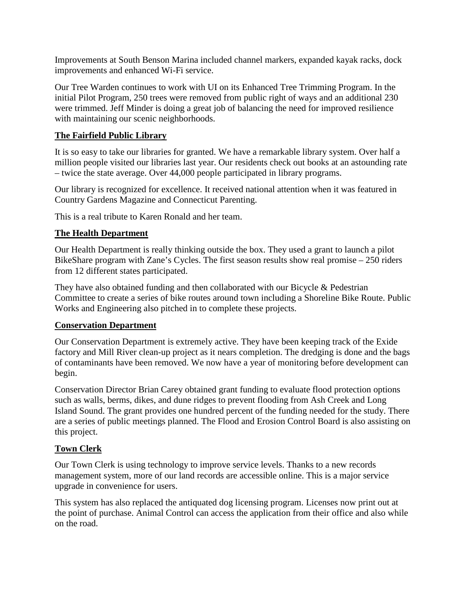Improvements at South Benson Marina included channel markers, expanded kayak racks, dock improvements and enhanced Wi-Fi service.

Our Tree Warden continues to work with UI on its Enhanced Tree Trimming Program. In the initial Pilot Program, 250 trees were removed from public right of ways and an additional 230 were trimmed. Jeff Minder is doing a great job of balancing the need for improved resilience with maintaining our scenic neighborhoods.

## **The Fairfield Public Library**

It is so easy to take our libraries for granted. We have a remarkable library system. Over half a million people visited our libraries last year. Our residents check out books at an astounding rate – twice the state average. Over 44,000 people participated in library programs.

Our library is recognized for excellence. It received national attention when it was featured in Country Gardens Magazine and Connecticut Parenting.

This is a real tribute to Karen Ronald and her team.

# **The Health Department**

Our Health Department is really thinking outside the box. They used a grant to launch a pilot BikeShare program with Zane's Cycles. The first season results show real promise – 250 riders from 12 different states participated.

They have also obtained funding and then collaborated with our Bicycle & Pedestrian Committee to create a series of bike routes around town including a Shoreline Bike Route. Public Works and Engineering also pitched in to complete these projects.

## **Conservation Department**

Our Conservation Department is extremely active. They have been keeping track of the Exide factory and Mill River clean-up project as it nears completion. The dredging is done and the bags of contaminants have been removed. We now have a year of monitoring before development can begin.

Conservation Director Brian Carey obtained grant funding to evaluate flood protection options such as walls, berms, dikes, and dune ridges to prevent flooding from Ash Creek and Long Island Sound. The grant provides one hundred percent of the funding needed for the study. There are a series of public meetings planned. The Flood and Erosion Control Board is also assisting on this project.

## **Town Clerk**

Our Town Clerk is using technology to improve service levels. Thanks to a new records management system, more of our land records are accessible online. This is a major service upgrade in convenience for users.

This system has also replaced the antiquated dog licensing program. Licenses now print out at the point of purchase. Animal Control can access the application from their office and also while on the road.